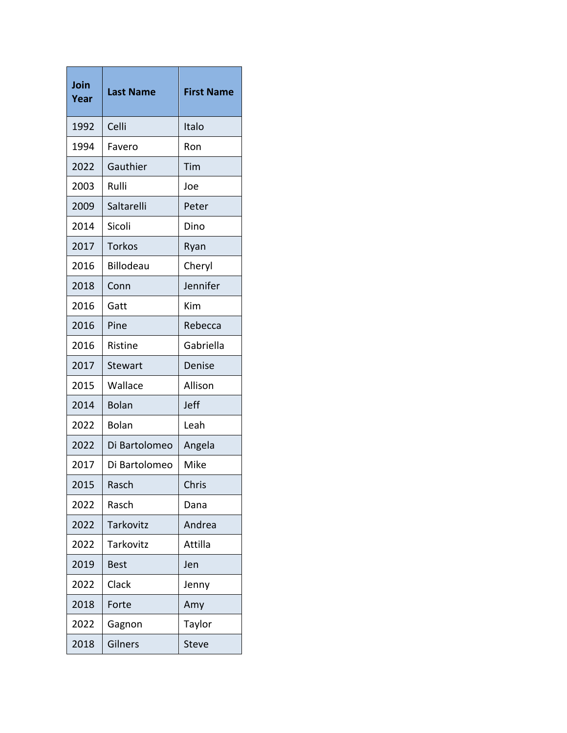| Join<br>Year | <b>Last Name</b> | <b>First Name</b> |
|--------------|------------------|-------------------|
| 1992         | Celli            | Italo             |
| 1994         | Favero           | Ron               |
| 2022         | Gauthier         | Tim               |
| 2003         | Rulli            | Joe               |
| 2009         | Saltarelli       | Peter             |
| 2014         | Sicoli           | Dino              |
| 2017         | <b>Torkos</b>    | Ryan              |
| 2016         | <b>Billodeau</b> | Cheryl            |
| 2018         | Conn             | Jennifer          |
| 2016         | Gatt             | Kim               |
| 2016         | Pine             | Rebecca           |
| 2016         | Ristine          | Gabriella         |
| 2017         | <b>Stewart</b>   | Denise            |
| 2015         | Wallace          | Allison           |
| 2014         | <b>Bolan</b>     | Jeff              |
| 2022         | <b>Bolan</b>     | Leah              |
| 2022         | Di Bartolomeo    | Angela            |
| 2017         | Di Bartolomeo    | Mike              |
| 2015         | Rasch            | Chris             |
| 2022         | Rasch            | Dana              |
| 2022         | <b>Tarkovitz</b> | Andrea            |
| 2022         | Tarkovitz        | Attilla           |
| 2019         | <b>Best</b>      | Jen               |
| 2022         | Clack            | Jenny             |
| 2018         | Forte            | Amy               |
| 2022         | Gagnon           | Taylor            |
| 2018         | Gilners          | <b>Steve</b>      |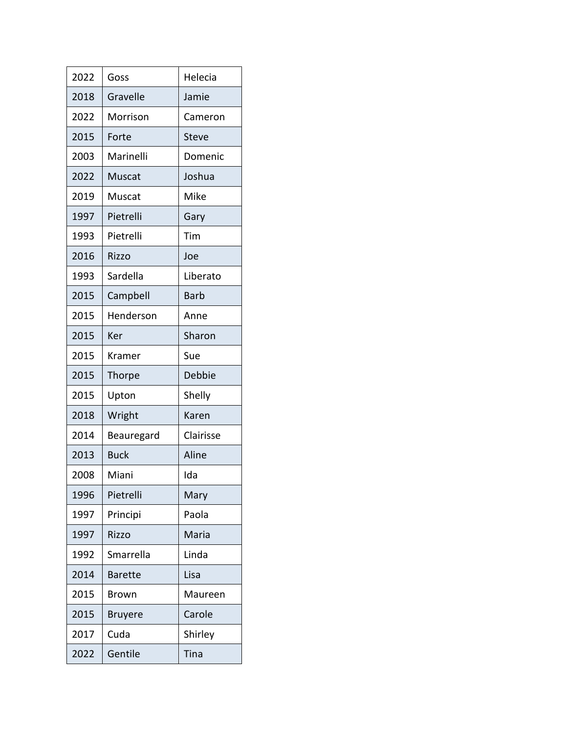| 2022 | Goss           | Helecia      |
|------|----------------|--------------|
| 2018 | Gravelle       | Jamie        |
| 2022 | Morrison       | Cameron      |
| 2015 | Forte          | <b>Steve</b> |
| 2003 | Marinelli      | Domenic      |
| 2022 | Muscat         | Joshua       |
| 2019 | Muscat         | Mike         |
| 1997 | Pietrelli      | Gary         |
| 1993 | Pietrelli      | Tim          |
| 2016 | Rizzo          | Joe          |
| 1993 | Sardella       | Liberato     |
| 2015 | Campbell       | Barb         |
| 2015 | Henderson      | Anne         |
| 2015 | Ker            | Sharon       |
| 2015 | Kramer         | Sue          |
| 2015 | Thorpe         | Debbie       |
| 2015 | Upton          | Shelly       |
| 2018 | Wright         | Karen        |
| 2014 | Beauregard     | Clairisse    |
| 2013 | <b>Buck</b>    | Aline        |
| 2008 | Miani          | Ida          |
| 1996 | Pietrelli      | Mary         |
| 1997 | Principi       | Paola        |
| 1997 | Rizzo          | Maria        |
| 1992 | Smarrella      | Linda        |
| 2014 | <b>Barette</b> | Lisa         |
| 2015 | Brown          | Maureen      |
| 2015 | <b>Bruyere</b> | Carole       |
| 2017 | Cuda           | Shirley      |
| 2022 | Gentile        | Tina         |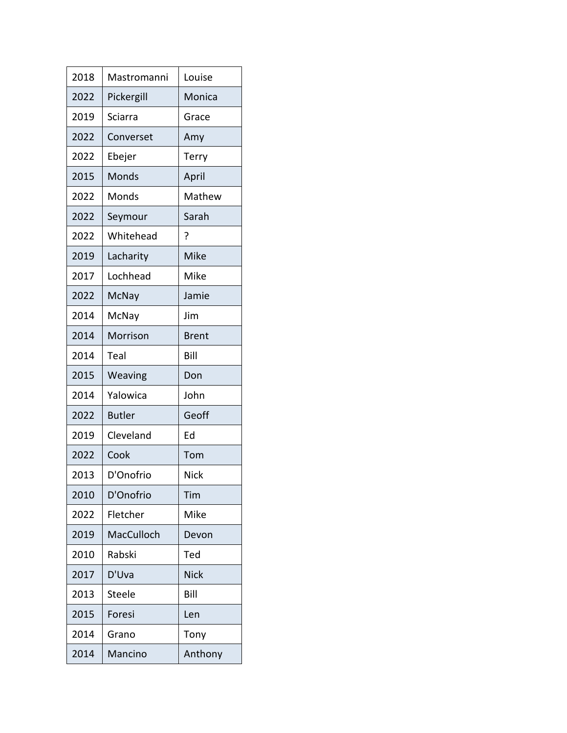| 2018 | Mastromanni   | Louise       |
|------|---------------|--------------|
| 2022 | Pickergill    | Monica       |
| 2019 | Sciarra       | Grace        |
| 2022 | Converset     | Amy          |
| 2022 | Ebejer        | Terry        |
| 2015 | Monds         | April        |
| 2022 | Monds         | Mathew       |
| 2022 | Seymour       | Sarah        |
| 2022 | Whitehead     | ?            |
| 2019 | Lacharity     | Mike         |
| 2017 | Lochhead      | Mike         |
| 2022 | McNay         | Jamie        |
| 2014 | McNay         | Jim          |
| 2014 | Morrison      | <b>Brent</b> |
| 2014 | Teal          | Bill         |
| 2015 | Weaving       | Don          |
| 2014 | Yalowica      | John         |
| 2022 | <b>Butler</b> | Geoff        |
| 2019 | Cleveland     | Ed           |
| 2022 | Cook          | Tom          |
| 2013 | D'Onofrio     | <b>Nick</b>  |
| 2010 | D'Onofrio     | Tim          |
| 2022 | Fletcher      | Mike         |
| 2019 | MacCulloch    | Devon        |
| 2010 | Rabski        | Ted          |
| 2017 | D'Uva         | <b>Nick</b>  |
| 2013 | Steele        | Bill         |
| 2015 | Foresi        | Len          |
| 2014 | Grano         | Tony         |
| 2014 | Mancino       | Anthony      |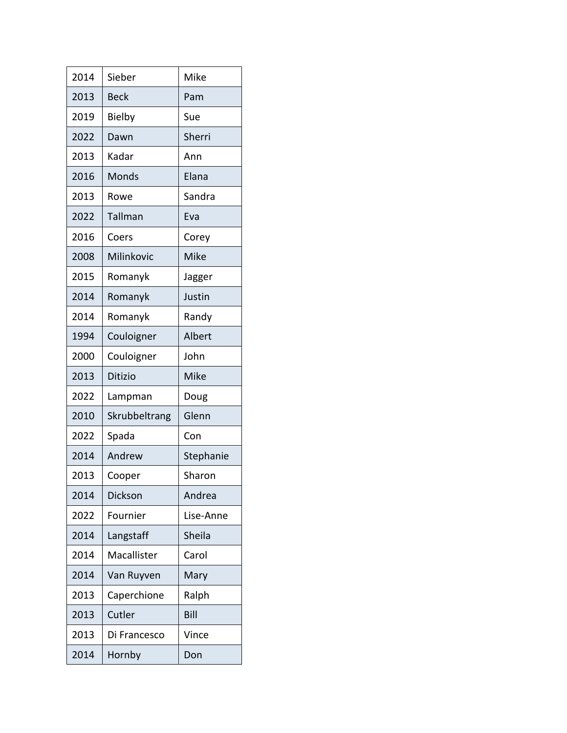| 2014 | Sieber         | Mike      |
|------|----------------|-----------|
| 2013 | <b>Beck</b>    | Pam       |
| 2019 | Bielby         | Sue       |
| 2022 | Dawn           | Sherri    |
| 2013 | Kadar          | Ann       |
| 2016 | Monds          | Elana     |
| 2013 | Rowe           | Sandra    |
| 2022 | Tallman        | Eva       |
| 2016 | Coers          | Corey     |
| 2008 | Milinkovic     | Mike      |
| 2015 | Romanyk        | Jagger    |
| 2014 | Romanyk        | Justin    |
| 2014 | Romanyk        | Randy     |
| 1994 | Couloigner     | Albert    |
| 2000 | Couloigner     | John      |
| 2013 | <b>Ditizio</b> | Mike      |
| 2022 | Lampman        | Doug      |
| 2010 | Skrubbeltrang  | Glenn     |
| 2022 | Spada          | Con       |
| 2014 | Andrew         | Stephanie |
| 2013 | Cooper         | Sharon    |
| 2014 | Dickson        | Andrea    |
| 2022 | Fournier       | Lise-Anne |
| 2014 | Langstaff      | Sheila    |
| 2014 | Macallister    | Carol     |
| 2014 | Van Ruyven     | Mary      |
| 2013 | Caperchione    | Ralph     |
| 2013 | Cutler         | Bill      |
| 2013 | Di Francesco   | Vince     |
| 2014 | Hornby         | Don       |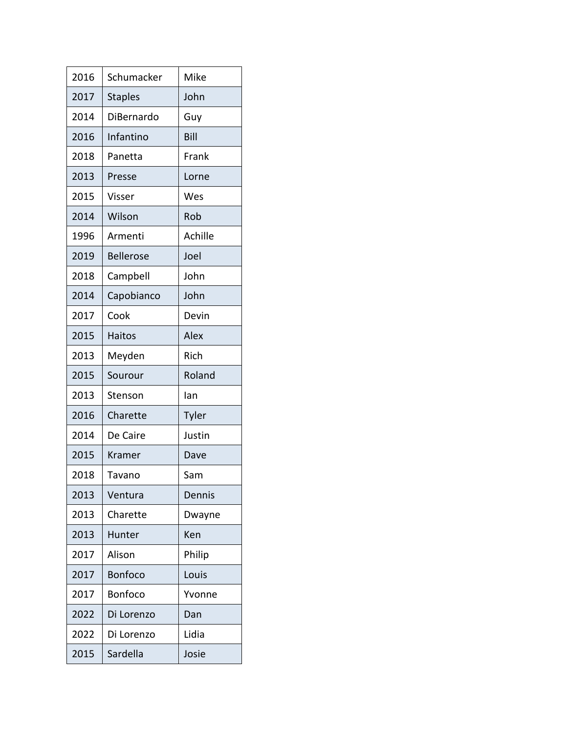| 2016 | Schumacker       | Mike    |
|------|------------------|---------|
| 2017 | <b>Staples</b>   | John    |
| 2014 | DiBernardo       | Guy     |
| 2016 | Infantino        | Bill    |
| 2018 | Panetta          | Frank   |
| 2013 | Presse           | Lorne   |
| 2015 | Visser           | Wes     |
| 2014 | Wilson           | Rob     |
| 1996 | Armenti          | Achille |
| 2019 | <b>Bellerose</b> | Joel    |
| 2018 | Campbell         | John    |
| 2014 | Capobianco       | John    |
| 2017 | Cook             | Devin   |
| 2015 | Haitos           | Alex    |
| 2013 | Meyden           | Rich    |
| 2015 | Sourour          | Roland  |
| 2013 | Stenson          | lan     |
| 2016 | Charette         | Tyler   |
| 2014 | De Caire         | Justin  |
| 2015 | Kramer           | Dave    |
| 2018 | Tavano           | Sam     |
| 2013 | Ventura          | Dennis  |
| 2013 | Charette         | Dwayne  |
| 2013 | Hunter           | Ken     |
| 2017 | Alison           | Philip  |
| 2017 | <b>Bonfoco</b>   | Louis   |
| 2017 | <b>Bonfoco</b>   | Yvonne  |
| 2022 | Di Lorenzo       | Dan     |
| 2022 | Di Lorenzo       | Lidia   |
| 2015 | Sardella         | Josie   |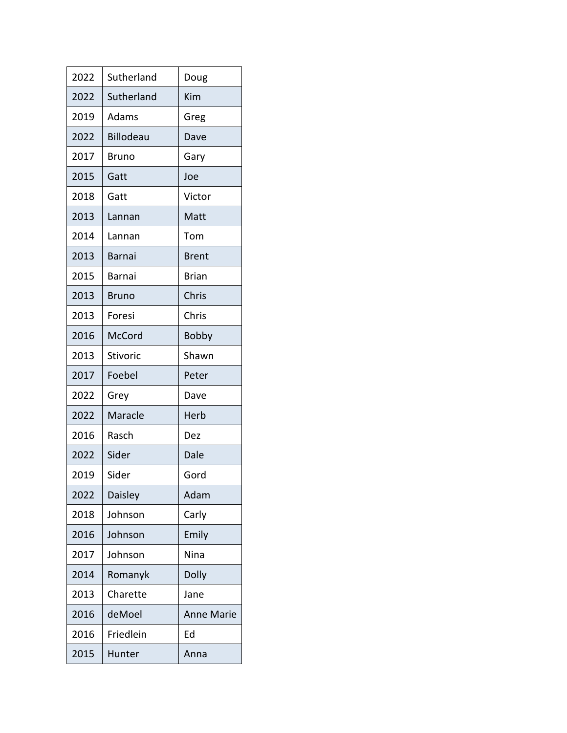| 2022 | Sutherland       | Doug              |
|------|------------------|-------------------|
| 2022 | Sutherland       | Kim               |
| 2019 | Adams            | Greg              |
| 2022 | <b>Billodeau</b> | Dave              |
| 2017 | Bruno            | Gary              |
| 2015 | Gatt             | Joe               |
| 2018 | Gatt             | Victor            |
| 2013 | Lannan           | Matt              |
| 2014 | Lannan           | Tom               |
| 2013 | Barnai           | <b>Brent</b>      |
| 2015 | Barnai           | <b>Brian</b>      |
| 2013 | <b>Bruno</b>     | Chris             |
| 2013 | Foresi           | Chris             |
| 2016 | <b>McCord</b>    | <b>Bobby</b>      |
| 2013 | <b>Stivoric</b>  | Shawn             |
| 2017 | Foebel           | Peter             |
| 2022 | Grey             | Dave              |
| 2022 | Maracle          | Herb              |
| 2016 | Rasch            | Dez               |
| 2022 | Sider            | Dale              |
| 2019 | Sider            | Gord              |
| 2022 | Daisley          | Adam              |
| 2018 | Johnson          | Carly             |
| 2016 | Johnson          | Emily             |
| 2017 | Johnson          | Nina              |
| 2014 | Romanyk          | <b>Dolly</b>      |
| 2013 | Charette         | Jane              |
| 2016 | deMoel           | <b>Anne Marie</b> |
| 2016 | Friedlein        | Ed                |
| 2015 | Hunter           | Anna              |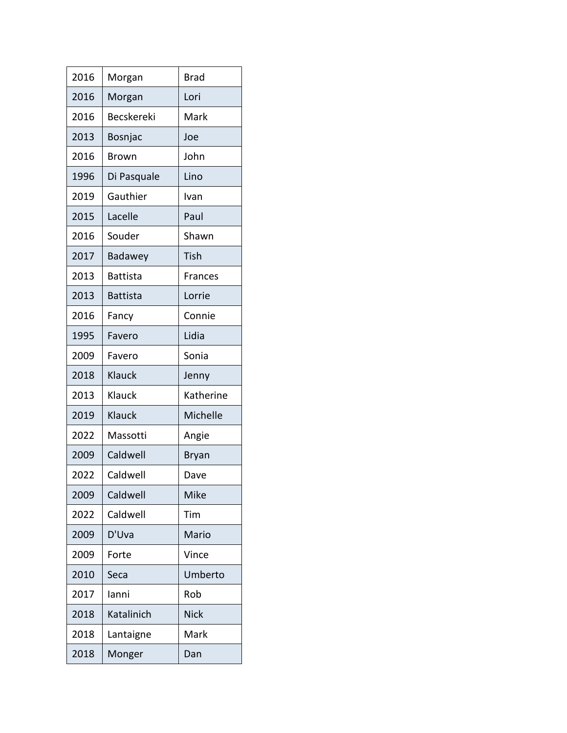| 2016 | Morgan            | <b>Brad</b>    |
|------|-------------------|----------------|
| 2016 | Morgan            | Lori           |
| 2016 | <b>Becskereki</b> | Mark           |
| 2013 | Bosnjac           | Joe            |
| 2016 | Brown             | John           |
| 1996 | Di Pasquale       | Lino           |
| 2019 | Gauthier          | Ivan           |
| 2015 | Lacelle           | Paul           |
| 2016 | Souder            | Shawn          |
| 2017 | Badawey           | Tish           |
| 2013 | <b>Battista</b>   | <b>Frances</b> |
| 2013 | <b>Battista</b>   | Lorrie         |
| 2016 | Fancy             | Connie         |
| 1995 | Favero            | Lidia          |
| 2009 | Favero            | Sonia          |
| 2018 | Klauck            | Jenny          |
| 2013 | Klauck            | Katherine      |
| 2019 | Klauck            | Michelle       |
| 2022 | Massotti          | Angie          |
| 2009 | Caldwell          | <b>Bryan</b>   |
| 2022 | Caldwell          | Dave           |
| 2009 | Caldwell          | Mike           |
| 2022 | Caldwell          | Tim            |
| 2009 | D'Uva             | Mario          |
| 2009 | Forte             | Vince          |
| 2010 | Seca              | Umberto        |
| 2017 | lanni             | Rob            |
| 2018 | Katalinich        | <b>Nick</b>    |
| 2018 | Lantaigne         | Mark           |
| 2018 | Monger            | Dan            |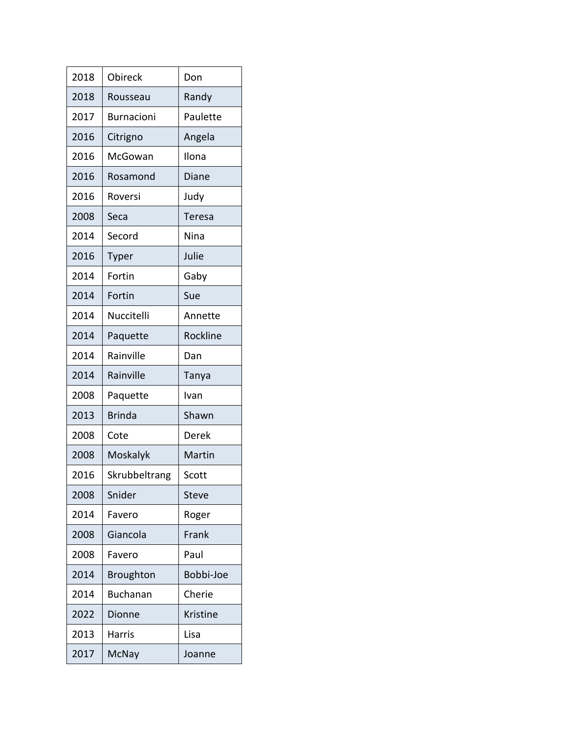| 2018 | Obireck           | Don           |
|------|-------------------|---------------|
| 2018 | Rousseau          | Randy         |
| 2017 | <b>Burnacioni</b> | Paulette      |
| 2016 | Citrigno          | Angela        |
| 2016 | McGowan           | Ilona         |
| 2016 | Rosamond          | Diane         |
| 2016 | Roversi           | Judy          |
| 2008 | Seca              | <b>Teresa</b> |
| 2014 | Secord            | Nina          |
| 2016 | Typer             | Julie         |
| 2014 | Fortin            | Gaby          |
| 2014 | Fortin            | Sue           |
| 2014 | Nuccitelli        | Annette       |
| 2014 | Paquette          | Rockline      |
| 2014 | Rainville         | Dan           |
| 2014 | Rainville         | Tanya         |
| 2008 | Paquette          | Ivan          |
| 2013 | <b>Brinda</b>     | Shawn         |
| 2008 | Cote              | Derek         |
| 2008 | Moskalyk          | Martin        |
| 2016 | Skrubbeltrang     | Scott         |
| 2008 | Snider            | <b>Steve</b>  |
| 2014 | Favero            | Roger         |
| 2008 | Giancola          | Frank         |
| 2008 | Favero            | Paul          |
| 2014 | <b>Broughton</b>  | Bobbi-Joe     |
| 2014 | <b>Buchanan</b>   | Cherie        |
| 2022 | Dionne            | Kristine      |
| 2013 | <b>Harris</b>     | Lisa          |
| 2017 | McNay             | Joanne        |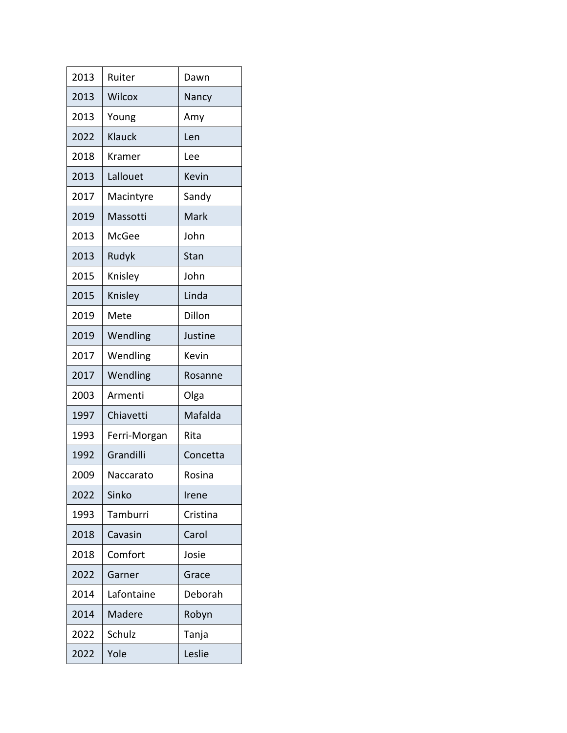| 2013 | Ruiter       | Dawn     |
|------|--------------|----------|
| 2013 | Wilcox       | Nancy    |
| 2013 | Young        | Amy      |
| 2022 | Klauck       | Len      |
| 2018 | Kramer       | Lee      |
| 2013 | Lallouet     | Kevin    |
| 2017 | Macintyre    | Sandy    |
| 2019 | Massotti     | Mark     |
| 2013 | McGee        | John     |
| 2013 | Rudyk        | Stan     |
| 2015 | Knisley      | John     |
| 2015 | Knisley      | Linda    |
| 2019 | Mete         | Dillon   |
| 2019 | Wendling     | Justine  |
| 2017 | Wendling     | Kevin    |
| 2017 | Wendling     | Rosanne  |
| 2003 | Armenti      | Olga     |
| 1997 | Chiavetti    | Mafalda  |
| 1993 | Ferri-Morgan | Rita     |
| 1992 | Grandilli    | Concetta |
| 2009 | Naccarato    | Rosina   |
| 2022 | Sinko        | Irene    |
| 1993 | Tamburri     | Cristina |
| 2018 | Cavasin      | Carol    |
| 2018 | Comfort      | Josie    |
| 2022 | Garner       | Grace    |
| 2014 | Lafontaine   | Deborah  |
| 2014 | Madere       | Robyn    |
| 2022 | Schulz       | Tanja    |
| 2022 | Yole         | Leslie   |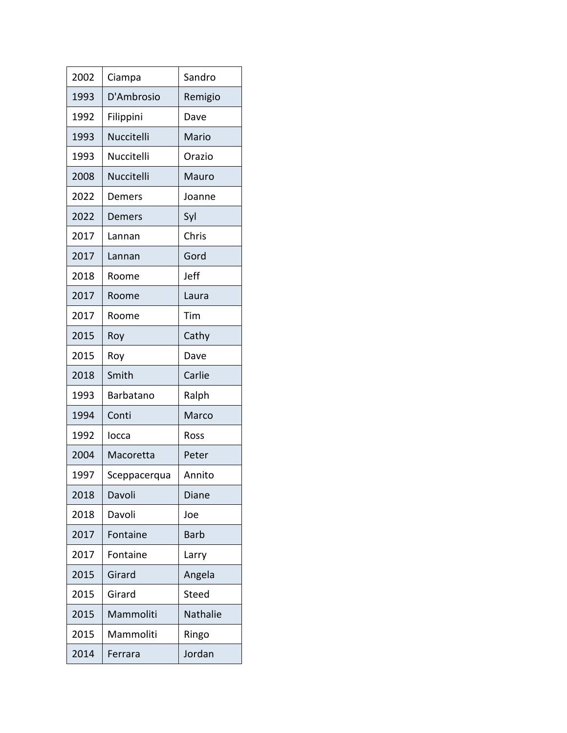| 2002 | Ciampa            | Sandro      |
|------|-------------------|-------------|
| 1993 | D'Ambrosio        | Remigio     |
| 1992 | Filippini         | Dave        |
| 1993 | <b>Nuccitelli</b> | Mario       |
| 1993 | Nuccitelli        | Orazio      |
| 2008 | Nuccitelli        | Mauro       |
| 2022 | Demers            | Joanne      |
| 2022 | Demers            | Syl         |
| 2017 | Lannan            | Chris       |
| 2017 | Lannan            | Gord        |
| 2018 | Roome             | Jeff        |
| 2017 | Roome             | Laura       |
| 2017 | Roome             | Tim         |
| 2015 | Roy               | Cathy       |
| 2015 | Roy               | Dave        |
| 2018 | Smith             | Carlie      |
| 1993 | Barbatano         | Ralph       |
| 1994 | Conti             | Marco       |
| 1992 | locca             | Ross        |
| 2004 | Macoretta         | Peter       |
| 1997 | Sceppacerqua      | Annito      |
| 2018 | Davoli            | Diane       |
| 2018 | Davoli            | Joe         |
| 2017 | Fontaine          | <b>Barb</b> |
| 2017 | Fontaine          | Larry       |
| 2015 | Girard            | Angela      |
| 2015 | Girard            | Steed       |
| 2015 | Mammoliti         | Nathalie    |
| 2015 | Mammoliti         | Ringo       |
| 2014 | Ferrara           | Jordan      |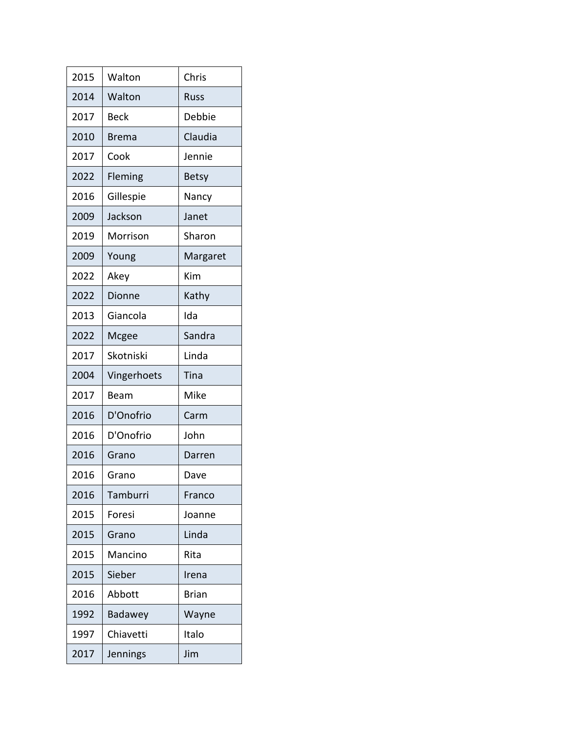| 2015 | Walton       | Chris        |
|------|--------------|--------------|
| 2014 | Walton       | Russ         |
| 2017 | <b>Beck</b>  | Debbie       |
| 2010 | <b>Brema</b> | Claudia      |
| 2017 | Cook         | Jennie       |
| 2022 | Fleming      | <b>Betsy</b> |
| 2016 | Gillespie    | Nancy        |
| 2009 | Jackson      | Janet        |
| 2019 | Morrison     | Sharon       |
| 2009 | Young        | Margaret     |
| 2022 | Akey         | Kim          |
| 2022 | Dionne       | Kathy        |
| 2013 | Giancola     | Ida          |
| 2022 | Mcgee        | Sandra       |
| 2017 | Skotniski    | Linda        |
| 2004 | Vingerhoets  | Tina         |
| 2017 | Beam         | Mike         |
| 2016 | D'Onofrio    | Carm         |
| 2016 | D'Onofrio    | John         |
| 2016 | Grano        | Darren       |
| 2016 | Grano        | Dave         |
| 2016 | Tamburri     | Franco       |
| 2015 | Foresi       | Joanne       |
| 2015 | Grano        | Linda        |
| 2015 | Mancino      | Rita         |
|      |              |              |
| 2015 | Sieber       | Irena        |
| 2016 | Abbott       | <b>Brian</b> |
| 1992 | Badawey      | Wayne        |
| 1997 | Chiavetti    | Italo        |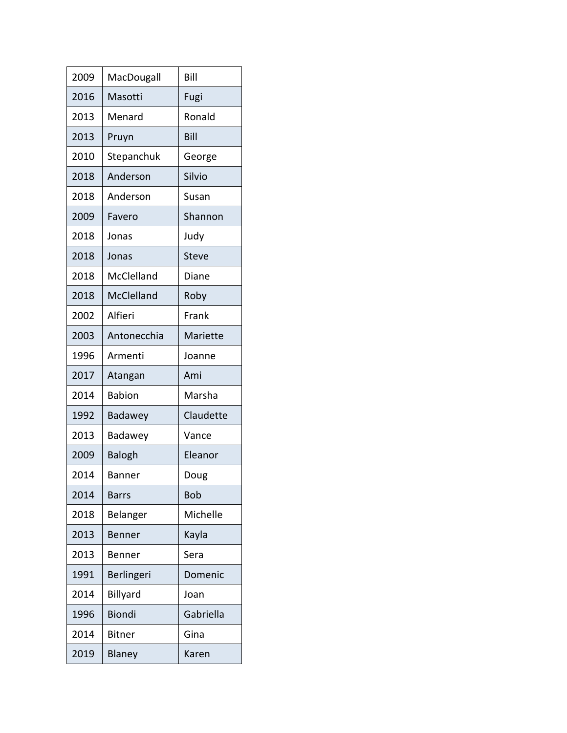| 2009 | MacDougall    | Bill         |
|------|---------------|--------------|
| 2016 | Masotti       | Fugi         |
| 2013 | Menard        | Ronald       |
| 2013 | Pruyn         | Bill         |
| 2010 | Stepanchuk    | George       |
| 2018 | Anderson      | Silvio       |
| 2018 | Anderson      | Susan        |
| 2009 | Favero        | Shannon      |
| 2018 | Jonas         | Judy         |
| 2018 | Jonas         | <b>Steve</b> |
| 2018 | McClelland    | Diane        |
| 2018 | McClelland    | Roby         |
| 2002 | Alfieri       | Frank        |
| 2003 | Antonecchia   | Mariette     |
| 1996 | Armenti       | Joanne       |
|      |               |              |
| 2017 | Atangan       | Ami          |
| 2014 | <b>Babion</b> | Marsha       |
| 1992 | Badawey       | Claudette    |
| 2013 | Badawey       | Vance        |
| 2009 | <b>Balogh</b> | Eleanor      |
| 2014 | <b>Banner</b> | Doug         |
| 2014 | <b>Barrs</b>  | <b>Bob</b>   |
| 2018 | Belanger      | Michelle     |
| 2013 | Benner        | Kayla        |
| 2013 | Benner        | Sera         |
| 1991 | Berlingeri    | Domenic      |
| 2014 | Billyard      | Joan         |
| 1996 | <b>Biondi</b> | Gabriella    |
| 2014 | <b>Bitner</b> | Gina         |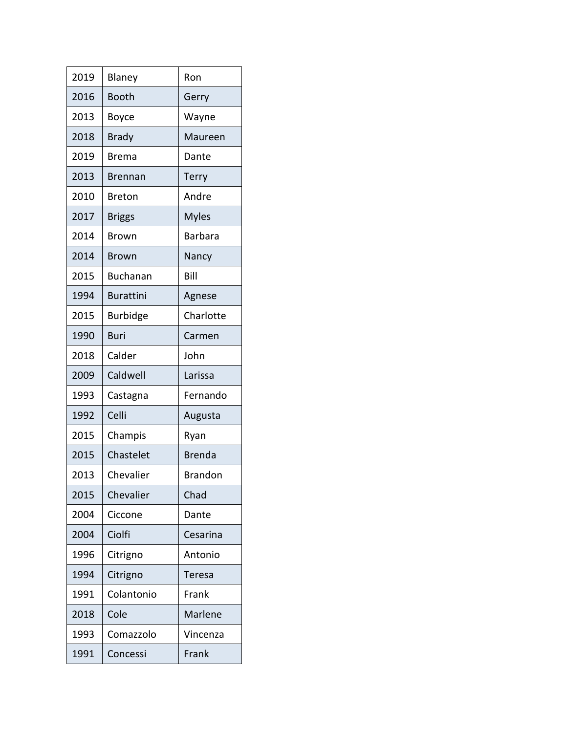| 2019 | Blaney           | Ron            |
|------|------------------|----------------|
| 2016 | Booth            | Gerry          |
| 2013 | Boyce            | Wayne          |
| 2018 | <b>Brady</b>     | Maureen        |
| 2019 | Brema            | Dante          |
| 2013 | Brennan          | Terry          |
| 2010 | <b>Breton</b>    | Andre          |
| 2017 | <b>Briggs</b>    | <b>Myles</b>   |
| 2014 | Brown            | <b>Barbara</b> |
| 2014 | <b>Brown</b>     | Nancy          |
| 2015 | <b>Buchanan</b>  | Bill           |
| 1994 | <b>Burattini</b> | Agnese         |
| 2015 | <b>Burbidge</b>  | Charlotte      |
| 1990 | Buri             | Carmen         |
| 2018 | Calder           | John           |
| 2009 | Caldwell         | Larissa        |
| 1993 | Castagna         | Fernando       |
| 1992 | Celli            | Augusta        |
| 2015 | Champis          | Ryan           |
| 2015 | Chastelet        | <b>Brenda</b>  |
| 2013 | Chevalier        | <b>Brandon</b> |
| 2015 | Chevalier        | Chad           |
| 2004 | Ciccone          | Dante          |
| 2004 | Ciolfi           | Cesarina       |
| 1996 | Citrigno         | Antonio        |
| 1994 | Citrigno         | Teresa         |
| 1991 | Colantonio       | Frank          |
| 2018 | Cole             | Marlene        |
| 1993 | Comazzolo        | Vincenza       |
| 1991 | Concessi         | Frank          |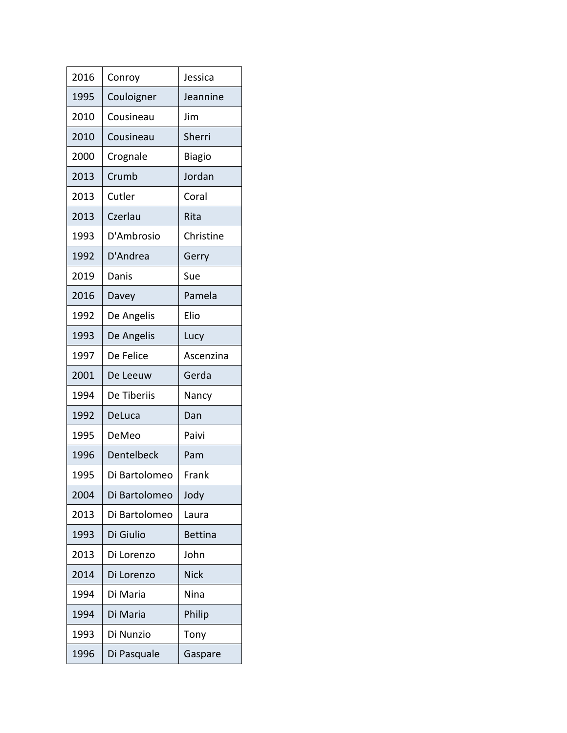| 2016 | Conroy            | Jessica        |
|------|-------------------|----------------|
| 1995 | Couloigner        | Jeannine       |
| 2010 | Cousineau         | Jim            |
| 2010 | Cousineau         | Sherri         |
| 2000 | Crognale          | <b>Biagio</b>  |
| 2013 | Crumb             | Jordan         |
| 2013 | Cutler            | Coral          |
| 2013 | Czerlau           | Rita           |
| 1993 | D'Ambrosio        | Christine      |
| 1992 | D'Andrea          | Gerry          |
| 2019 | Danis             | Sue            |
| 2016 | Davey             | Pamela         |
| 1992 | De Angelis        | Elio           |
| 1993 | De Angelis        | Lucy           |
| 1997 | De Felice         | Ascenzina      |
| 2001 | De Leeuw          | Gerda          |
| 1994 | De Tiberiis       | Nancy          |
| 1992 | DeLuca            | Dan            |
| 1995 | DeMeo             | Paivi          |
| 1996 | <b>Dentelbeck</b> | Pam            |
| 1995 | Di Bartolomeo     | Frank          |
| 2004 | Di Bartolomeo     | Jody           |
| 2013 | Di Bartolomeo     | Laura          |
| 1993 | Di Giulio         | <b>Bettina</b> |
| 2013 | Di Lorenzo        | John           |
| 2014 | Di Lorenzo        | <b>Nick</b>    |
| 1994 | Di Maria          | <b>Nina</b>    |
| 1994 | Di Maria          | Philip         |
| 1993 | Di Nunzio         | Tony           |
| 1996 | Di Pasquale       | Gaspare        |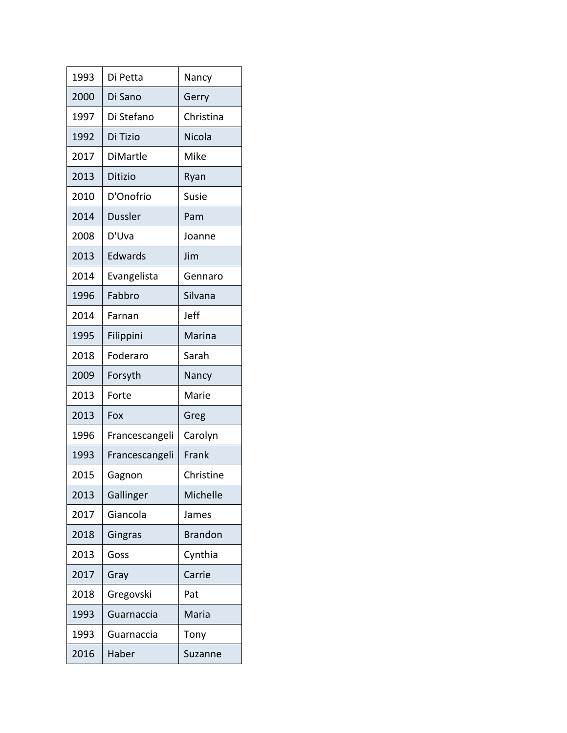| 1993 | Di Petta       | Nancy          |
|------|----------------|----------------|
| 2000 | Di Sano        | Gerry          |
| 1997 | Di Stefano     | Christina      |
| 1992 | Di Tizio       | Nicola         |
| 2017 | DiMartle       | Mike           |
| 2013 | <b>Ditizio</b> | Ryan           |
| 2010 | D'Onofrio      | Susie          |
| 2014 | <b>Dussler</b> | Pam            |
| 2008 | D'Uva          | Joanne         |
| 2013 | Edwards        | Jim            |
| 2014 | Evangelista    | Gennaro        |
| 1996 | Fabbro         | Silvana        |
| 2014 | Farnan         | Jeff           |
| 1995 | Filippini      | Marina         |
| 2018 | Foderaro       | Sarah          |
| 2009 | Forsyth        | Nancy          |
| 2013 | Forte          | Marie          |
|      |                |                |
| 2013 | Fox            | Greg           |
| 1996 | Francescangeli | Carolyn        |
| 1993 | Francescangeli | Frank          |
| 2015 | Gagnon         | Christine      |
| 2013 | Gallinger      | Michelle       |
| 2017 | Giancola       | James          |
| 2018 | Gingras        | <b>Brandon</b> |
| 2013 | Goss           | Cynthia        |
| 2017 | Gray           | Carrie         |
| 2018 | Gregovski      | Pat            |
| 1993 | Guarnaccia     | Maria          |
| 1993 | Guarnaccia     | Tony           |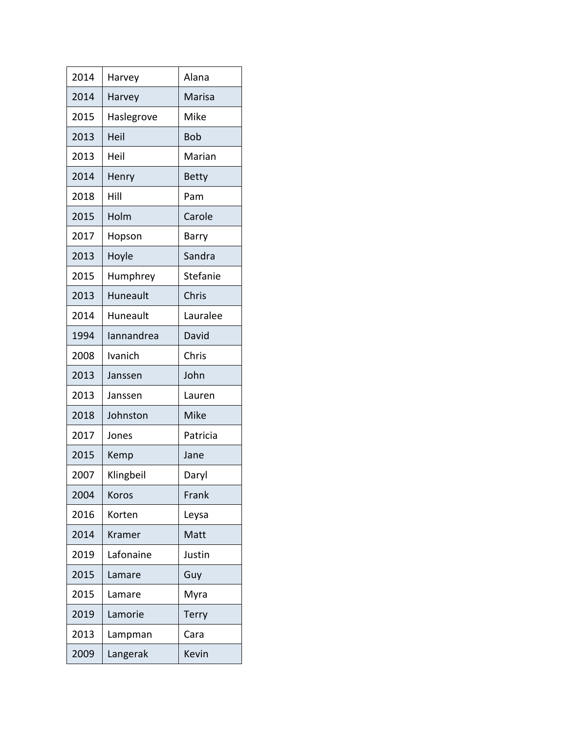| 2014 | Harvey     | Alana        |
|------|------------|--------------|
| 2014 | Harvey     | Marisa       |
| 2015 | Haslegrove | Mike         |
| 2013 | Heil       | <b>Bob</b>   |
| 2013 | Heil       | Marian       |
| 2014 | Henry      | <b>Betty</b> |
| 2018 | Hill       | Pam          |
| 2015 | Holm       | Carole       |
| 2017 | Hopson     | Barry        |
| 2013 | Hoyle      | Sandra       |
| 2015 | Humphrey   | Stefanie     |
| 2013 | Huneault   | Chris        |
| 2014 | Huneault   | Lauralee     |
| 1994 | lannandrea | David        |
| 2008 | Ivanich    | Chris        |
| 2013 | Janssen    | John         |
| 2013 | Janssen    | Lauren       |
| 2018 | Johnston   | Mike         |
| 2017 | Jones      | Patricia     |
| 2015 | Kemp       | Jane         |
| 2007 | Klingbeil  | Daryl        |
| 2004 | Koros      | Frank        |
| 2016 | Korten     | Leysa        |
| 2014 | Kramer     | Matt         |
| 2019 | Lafonaine  | Justin       |
| 2015 | Lamare     | Guy          |
| 2015 | Lamare     | Myra         |
| 2019 | Lamorie    | Terry        |
| 2013 | Lampman    | Cara         |
| 2009 | Langerak   | Kevin        |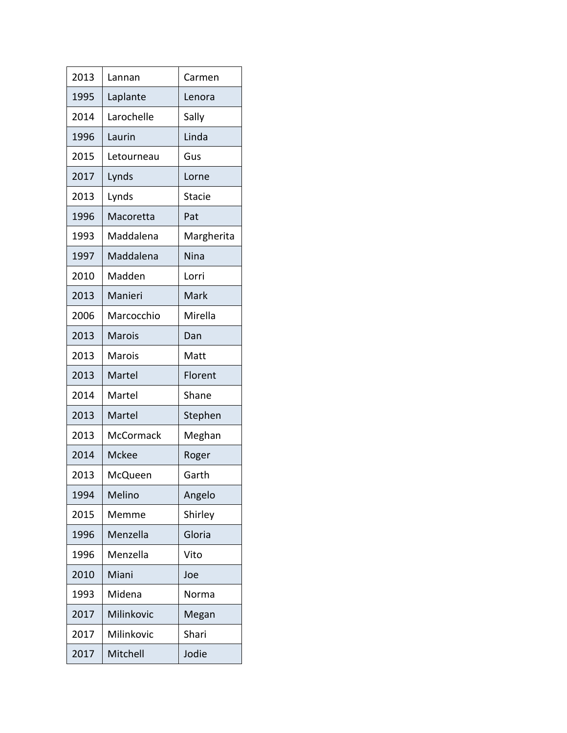| 2013 | Lannan       | Carmen        |
|------|--------------|---------------|
| 1995 | Laplante     | Lenora        |
| 2014 | Larochelle   | Sally         |
| 1996 | Laurin       | Linda         |
| 2015 | Letourneau   | Gus           |
| 2017 | Lynds        | Lorne         |
| 2013 | Lynds        | <b>Stacie</b> |
| 1996 | Macoretta    | Pat           |
| 1993 | Maddalena    | Margherita    |
| 1997 | Maddalena    | Nina          |
| 2010 | Madden       | Lorri         |
| 2013 | Manieri      | Mark          |
| 2006 | Marcocchio   | Mirella       |
| 2013 | Marois       | Dan           |
| 2013 | Marois       | Matt          |
| 2013 | Martel       | Florent       |
| 2014 | Martel       | Shane         |
| 2013 | Martel       | Stephen       |
| 2013 | McCormack    | Meghan        |
| 2014 | <b>Mckee</b> | Roger         |
| 2013 | McQueen      | Garth         |
| 1994 | Melino       | Angelo        |
| 2015 | Memme        | Shirley       |
| 1996 | Menzella     | Gloria        |
| 1996 | Menzella     | Vito          |
| 2010 | Miani        | Joe           |
| 1993 | Midena       | Norma         |
| 2017 | Milinkovic   | Megan         |
| 2017 | Milinkovic   | Shari         |
| 2017 | Mitchell     | Jodie         |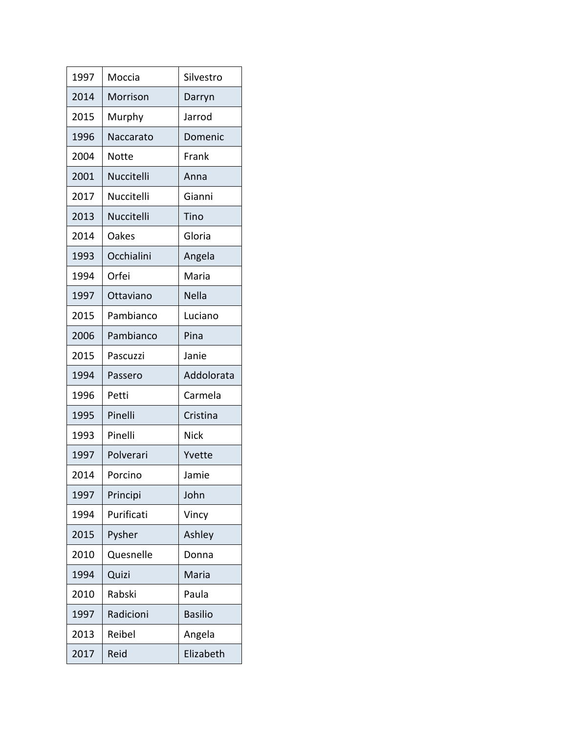| 1997 | Moccia       | Silvestro      |
|------|--------------|----------------|
| 2014 | Morrison     | Darryn         |
| 2015 | Murphy       | Jarrod         |
| 1996 | Naccarato    | Domenic        |
| 2004 | <b>Notte</b> | Frank          |
| 2001 | Nuccitelli   | Anna           |
| 2017 | Nuccitelli   | Gianni         |
| 2013 | Nuccitelli   | Tino           |
| 2014 | Oakes        | Gloria         |
| 1993 | Occhialini   | Angela         |
| 1994 | Orfei        | Maria          |
| 1997 | Ottaviano    | Nella          |
| 2015 | Pambianco    | Luciano        |
| 2006 | Pambianco    | Pina           |
| 2015 | Pascuzzi     | Janie          |
|      |              |                |
| 1994 | Passero      | Addolorata     |
| 1996 | Petti        | Carmela        |
| 1995 | Pinelli      | Cristina       |
| 1993 | Pinelli      | <b>Nick</b>    |
| 1997 | Polverari    | Yvette         |
| 2014 | Porcino      | Jamie          |
| 1997 | Principi     | John           |
| 1994 | Purificati   | Vincy          |
| 2015 | Pysher       | Ashley         |
| 2010 | Quesnelle    | Donna          |
| 1994 | Quizi        | Maria          |
| 2010 | Rabski       | Paula          |
| 1997 | Radicioni    | <b>Basilio</b> |
| 2013 | Reibel       | Angela         |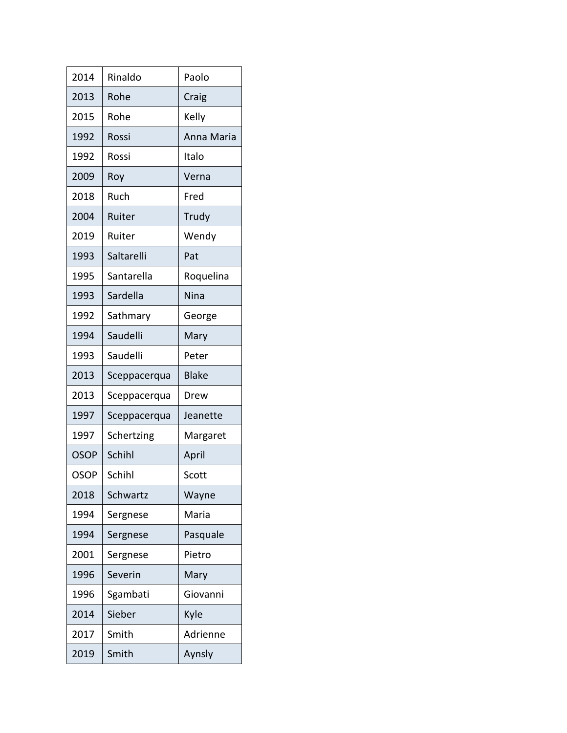| 2014        | Rinaldo      | Paolo        |
|-------------|--------------|--------------|
| 2013        | Rohe         | Craig        |
| 2015        | Rohe         | Kelly        |
| 1992        | Rossi        | Anna Maria   |
| 1992        | Rossi        | Italo        |
| 2009        | Roy          | Verna        |
| 2018        | Ruch         | Fred         |
| 2004        | Ruiter       | Trudy        |
| 2019        | Ruiter       | Wendy        |
| 1993        | Saltarelli   | Pat          |
| 1995        | Santarella   | Roquelina    |
| 1993        | Sardella     | Nina         |
| 1992        | Sathmary     | George       |
| 1994        | Saudelli     | Mary         |
| 1993        | Saudelli     | Peter        |
| 2013        | Sceppacerqua | <b>Blake</b> |
| 2013        | Sceppacerqua | Drew         |
| 1997        | Sceppacerqua | Jeanette     |
| 1997        | Schertzing   | Margaret     |
| <b>OSOP</b> | Schihl       | April        |
| <b>OSOP</b> | Schihl       | Scott        |
| 2018        | Schwartz     | Wayne        |
| 1994        | Sergnese     | Maria        |
| 1994        | Sergnese     | Pasquale     |
| 2001        | Sergnese     | Pietro       |
| 1996        | Severin      | Mary         |
| 1996        | Sgambati     | Giovanni     |
| 2014        | Sieber       | Kyle         |
| 2017        | Smith        | Adrienne     |
| 2019        | Smith        | Aynsly       |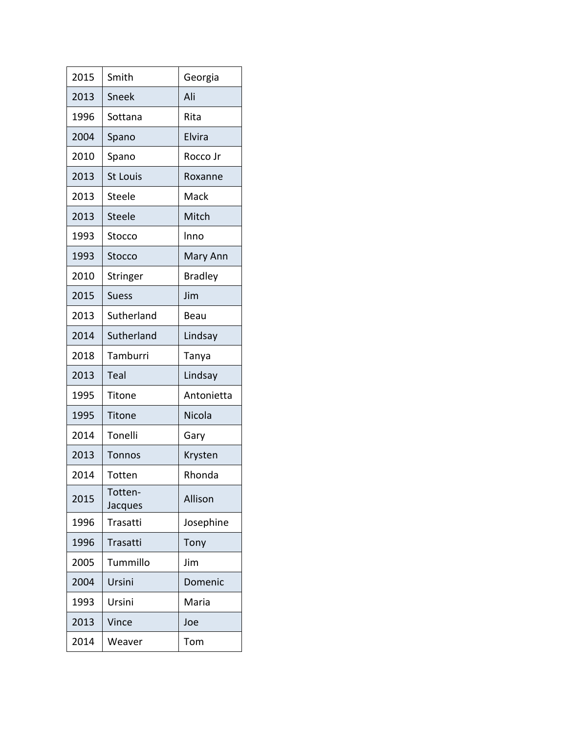| 2015 | Smith              | Georgia        |
|------|--------------------|----------------|
| 2013 | Sneek              | Ali            |
| 1996 | Sottana            | Rita           |
| 2004 | Spano              | Elvira         |
| 2010 | Spano              | Rocco Jr       |
| 2013 | <b>St Louis</b>    | Roxanne        |
| 2013 | Steele             | Mack           |
| 2013 | <b>Steele</b>      | Mitch          |
| 1993 | Stocco             | Inno           |
| 1993 | Stocco             | Mary Ann       |
| 2010 | <b>Stringer</b>    | <b>Bradley</b> |
| 2015 | <b>Suess</b>       | Jim            |
| 2013 | Sutherland         | Beau           |
| 2014 | Sutherland         | Lindsay        |
| 2018 | Tamburri           | Tanya          |
| 2013 | Teal               | Lindsay        |
| 1995 | <b>Titone</b>      | Antonietta     |
| 1995 | Titone             | Nicola         |
| 2014 | Tonelli            | Gary           |
| 2013 | <b>Tonnos</b>      | Krysten        |
| 2014 | Totten             | Rhonda         |
| 2015 | Totten-<br>Jacques | Allison        |
| 1996 | Trasatti           | Josephine      |
| 1996 | Trasatti           | Tony           |
| 2005 | Tummillo           | Jim            |
| 2004 | Ursini             | Domenic        |
| 1993 | Ursini             | Maria          |
| 2013 | Vince              | Joe            |
| 2014 | Weaver             | Tom            |